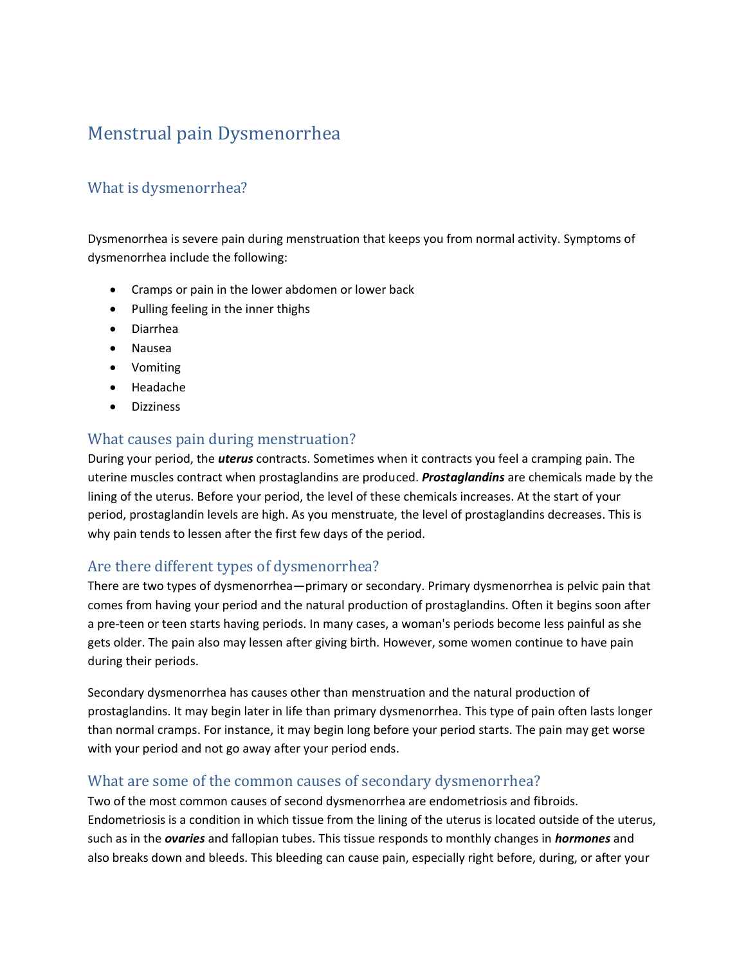# Menstrual pain Dysmenorrhea

# What is dysmenorrhea?

Dysmenorrhea is severe pain during menstruation that keeps you from normal activity. Symptoms of dysmenorrhea include the following:

- Cramps or pain in the lower abdomen or lower back
- Pulling feeling in the inner thighs
- Diarrhea
- Nausea
- Vomiting
- Headache
- **Dizziness**

### What causes pain during menstruation?

During your period, the *uterus* contracts. Sometimes when it contracts you feel a cramping pain. The uterine muscles contract when prostaglandins are produced. *Prostaglandins* are chemicals made by the lining of the uterus. Before your period, the level of these chemicals increases. At the start of your period, prostaglandin levels are high. As you menstruate, the level of prostaglandins decreases. This is why pain tends to lessen after the first few days of the period.

#### Are there different types of dysmenorrhea?

There are two types of dysmenorrhea—primary or secondary. Primary dysmenorrhea is pelvic pain that comes from having your period and the natural production of prostaglandins. Often it begins soon after a pre-teen or teen starts having periods. In many cases, a woman's periods become less painful as she gets older. The pain also may lessen after giving birth. However, some women continue to have pain during their periods.

Secondary dysmenorrhea has causes other than menstruation and the natural production of prostaglandins. It may begin later in life than primary dysmenorrhea. This type of pain often lasts longer than normal cramps. For instance, it may begin long before your period starts. The pain may get worse with your period and not go away after your period ends.

## What are some of the common causes of secondary dysmenorrhea?

Two of the most common causes of second dysmenorrhea are endometriosis and fibroids. Endometriosis is a condition in which tissue from the lining of the uterus is located outside of the uterus, such as in the *ovaries* and fallopian tubes. This tissue responds to monthly changes in *hormones* and also breaks down and bleeds. This bleeding can cause pain, especially right before, during, or after your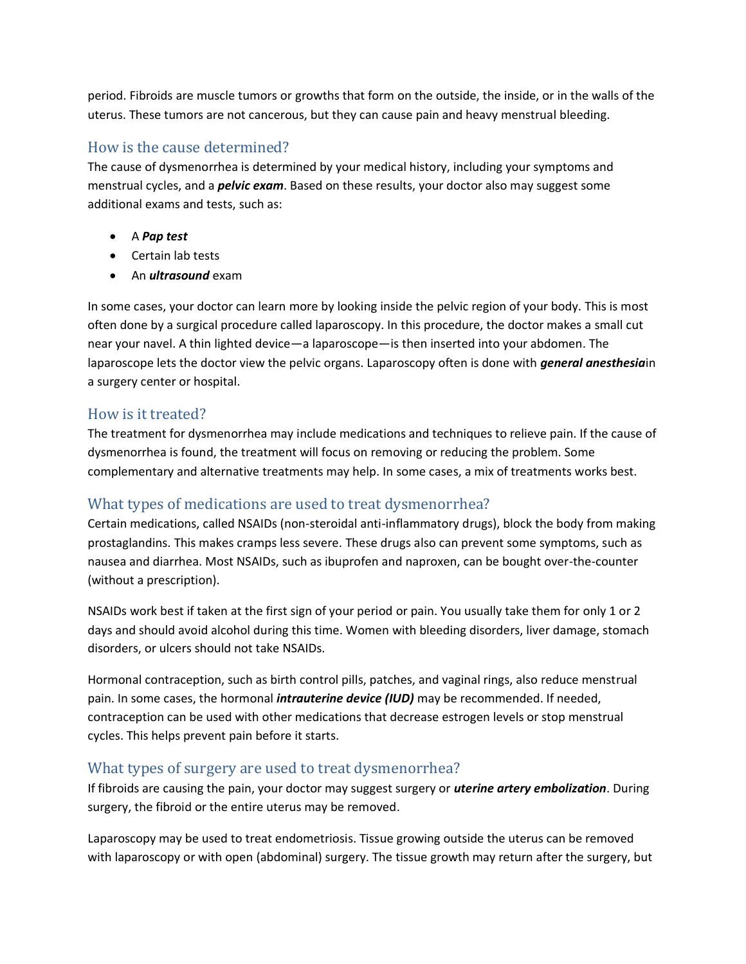period. Fibroids are muscle tumors or growths that form on the outside, the inside, or in the walls of the uterus. These tumors are not cancerous, but they can cause pain and heavy menstrual bleeding.

# How is the cause determined?

The cause of dysmenorrhea is determined by your medical history, including your symptoms and menstrual cycles, and a *pelvic exam*. Based on these results, your doctor also may suggest some additional exams and tests, such as:

- A *Pap test*
- Certain lab tests
- An *ultrasound* exam

In some cases, your doctor can learn more by looking inside the pelvic region of your body. This is most often done by a surgical procedure called laparoscopy. In this procedure, the doctor makes a small cut near your navel. A thin lighted device—a laparoscope—is then inserted into your abdomen. The laparoscope lets the doctor view the pelvic organs. Laparoscopy often is done with *general anesthesia*in a surgery center or hospital.

## How is it treated?

The treatment for dysmenorrhea may include medications and techniques to relieve pain. If the cause of dysmenorrhea is found, the treatment will focus on removing or reducing the problem. Some complementary and alternative treatments may help. In some cases, a mix of treatments works best.

# What types of medications are used to treat dysmenorrhea?

Certain medications, called NSAIDs (non-steroidal anti-inflammatory drugs), block the body from making prostaglandins. This makes cramps less severe. These drugs also can prevent some symptoms, such as nausea and diarrhea. Most NSAIDs, such as ibuprofen and naproxen, can be bought over-the-counter (without a prescription).

NSAIDs work best if taken at the first sign of your period or pain. You usually take them for only 1 or 2 days and should avoid alcohol during this time. Women with bleeding disorders, liver damage, stomach disorders, or ulcers should not take NSAIDs.

Hormonal contraception, such as birth control pills, patches, and vaginal rings, also reduce menstrual pain. In some cases, the hormonal *intrauterine device (IUD)* may be recommended. If needed, contraception can be used with other medications that decrease estrogen levels or stop menstrual cycles. This helps prevent pain before it starts.

# What types of surgery are used to treat dysmenorrhea?

If fibroids are causing the pain, your doctor may suggest surgery or *uterine artery embolization*. During surgery, the fibroid or the entire uterus may be removed.

Laparoscopy may be used to treat endometriosis. Tissue growing outside the uterus can be removed with laparoscopy or with open (abdominal) surgery. The tissue growth may return after the surgery, but